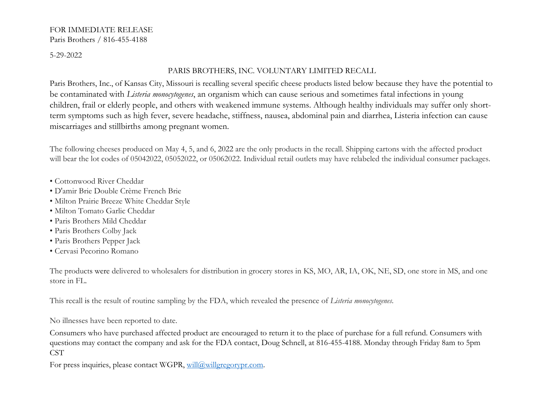#### FOR IMMEDIATE RELEASE Paris Brothers / 816-455-4188

5-29-2022

# PARIS BROTHERS, INC. VOLUNTARY LIMITED RECALL

Paris Brothers, Inc., of Kansas City, Missouri is recalling several specific cheese products listed below because they have the potential to be contaminated with *Listeria monocytogenes*, an organism which can cause serious and sometimes fatal infections in young children, frail or elderly people, and others with weakened immune systems. Although healthy individuals may suffer only shortterm symptoms such as high fever, severe headache, stiffness, nausea, abdominal pain and diarrhea, Listeria infection can cause miscarriages and stillbirths among pregnant women.

The following cheeses produced on May 4, 5, and 6, 2022 are the only products in the recall. Shipping cartons with the affected product will bear the lot codes of 05042022, 05052022, or 05062022. Individual retail outlets may have relabeled the individual consumer packages.

- Cottonwood River Cheddar
- D'amir Brie Double Crème French Brie
- Milton Prairie Breeze White Cheddar Style
- Milton Tomato Garlic Cheddar
- Paris Brothers Mild Cheddar
- Paris Brothers Colby Jack
- Paris Brothers Pepper Jack
- Cervasi Pecorino Romano

The products were delivered to wholesalers for distribution in grocery stores in KS, MO, AR, IA, OK, NE, SD, one store in MS, and one store in FL.

This recall is the result of routine sampling by the FDA, which revealed the presence of *Listeria monocytogenes*.

No illnesses have been reported to date.

Consumers who have purchased affected product are encouraged to return it to the place of purchase for a full refund. Consumers with questions may contact the company and ask for the FDA contact, Doug Schnell, at 816-455-4188. Monday through Friday 8am to 5pm CST

For press inquiries, please contact WGPR, will@willgregorypr.com.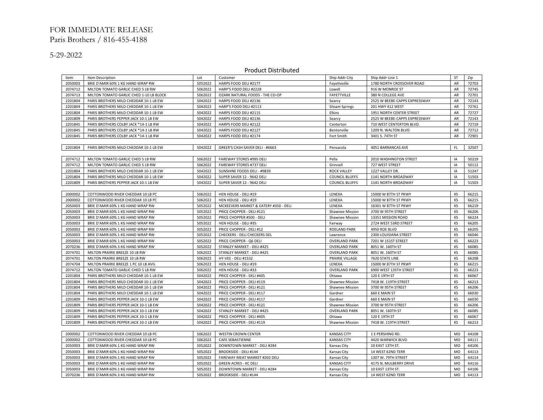## FOR IMMEDIATE RELEASE Paris Brothers / 816-455-4188

5-29-2022

#### Product Distributed

| Item    | Item Description                        | Lot     | Customer                              | Ship Addr City        | Ship Addr Line 1              | ST             | Zip   |
|---------|-----------------------------------------|---------|---------------------------------------|-----------------------|-------------------------------|----------------|-------|
| 2050003 | BRIE D'AMIR 60% 1 KG HAND WRAP RW       | 5052022 | HARPS FOOD DELI #2177                 | Fayetteville          | 1780 NORTH CROSSOVER ROAD     | AR             | 72703 |
| 2074712 | MILTON TOMATO GARLIC CHED 5 LB RW       | 5062022 | HARP'S FOOD DELI #2228                | Lowell                | 916 W MONROE ST               | AR             | 72745 |
| 2074713 | MILTON TOMATO GARLIC CHED 1-10 LB BLOCK | 5062022 | OZARK NATURAL FOODS - THE CO-OP       | FAYETTVILLE           | 380 N COLLEGE AVE             | AR             | 72701 |
| 2201804 |                                         | 5042022 |                                       |                       |                               | AR             | 72143 |
|         | PARIS BROTHERS MILD CHEDDAR 10-1 LB EW  |         | HARPS FOOD DELI #2136                 | Searcy                | 2525 W BEEBE-CAPPS EXPRESSWAY |                | 72761 |
| 2201804 | PARIS BROTHERS MILD CHEDDAR 10-1 LB EW  | 5042022 | HARP'S FOOD DELI #2113                | <b>Siloam Springs</b> | 201 HWY 412 WEST              | AR             |       |
| 2201804 | PARIS BROTHERS MILD CHEDDAR 10-1 LB EW  | 5042022 | HARPS FOOD DELI #2115                 | Elkins                | 1951 NORTH CENTER STREET      | AR             | 72727 |
| 2201809 | PARIS BROTHERS PEPPER JACK 10-1 LB EW   | 5042022 | HARPS FOOD DELI #2136                 | Searcy                | 2525 W BEEBE-CAPPS EXPRESSWAY | AR             | 72143 |
| 2201845 | PARIS BROTHERS COLBY JACK *14-1 LB RW   | 5042022 | HARPS FOOD DELI #2122                 | Centerton             | 710 WEST CENTERTON BLVD.      | AR             | 72719 |
| 2201845 | PARIS BROTHERS COLBY JACK *14-1 LB RW   | 5042022 | HARPS FOOD DELI #2127                 | Bentonville           | 1209 N. WALTON BLVD           | AR             | 72712 |
| 2201845 | PARIS BROTHERS COLBY JACK *14-1 LB RW   | 5042022 | HARPS FOOD DELI #2174                 | Fort Smith            | 3401 S. 74TH ST               | AR             | 72901 |
|         |                                         |         |                                       |                       |                               |                |       |
| 2201804 | PARIS BROTHERS MILD CHEDDAR 10-1 LB EW  | 5042022 | GREER'S CASH SAVER DELI - #6663       | Pensacola             | 4051 BARRANCAS AVE            | $\mathsf{FL}$  | 32507 |
|         |                                         |         |                                       |                       |                               |                |       |
| 2074712 | MILTON TOMATO GARLIC CHED 5 LB RW       | 5062022 | FAREWAY STORES #995 DELI              | Pella                 | 2010 WASHINGTON STREET        | IA             | 50219 |
| 2074712 | MILTON TOMATO GARLIC CHED 5 LB RW       | 5062022 | <b>FAREWAY STORES #737 DELI</b>       | Grinnell              | 727 WEST STREET               | IA             | 50112 |
| 2201804 | PARIS BROTHERS MILD CHEDDAR 10-1 LB EW  | 5042022 | SUNSHINE FOODS DELI - #9839           | <b>ROCK VALLEY</b>    | 1227 VALLEY DR.               | IA             | 51247 |
| 2201804 | PARIS BROTHERS MILD CHEDDAR 10-1 LB EW  | 5042022 | SUPER SAVER 12 - 9642 DELI            | <b>COUNCIL BLUFFS</b> | 1141 NORTH BROADWAY           | IA             | 51503 |
| 2201809 | PARIS BROTHERS PEPPER JACK 10-1 LB EW   | 5042022 | SUPER SAVER 12 - 9642 DELI            | <b>COUNCIL BLUFFS</b> | 1141 NORTH BROADWAY           | IA             | 51503 |
|         |                                         |         |                                       |                       |                               |                |       |
| 2000002 | COTTONWOOD RIVER CHEDDAR 10 LB PC       | 5062022 | HEN HOUSE - DELI #19                  | LENEXA                | 15000 W 87TH ST PKWY          | KS             | 66215 |
| 2000002 | COTTONWOOD RIVER CHEDDAR 10 LB PC       | 5062022 | HEN HOUSE - DELI #19                  | LENEXA                | 15000 W 87TH ST PKWY          | KS             | 66215 |
| 2050003 | BRIE D'AMIR 60% 1 KG HAND WRAP RW       | 5052022 | MCKEEVERS MARKET & EATERY #350 - DELI | LENEXA                | 16301 W 87TH ST PKWY          | KS             | 66219 |
| 2050003 | BRIE D'AMIR 60% 1 KG HAND WRAP RW       | 5052022 | PRICE CHOPPER - DELI #121             | Shawnee Mission       | 3700 W 95TH STREET            | KS             | 66206 |
| 2050003 | BRIE D'AMIR 60% 1 KG HAND WRAP RW       | 5052022 | PRICE CHOPPER #500 - DELI             | Shawnee Mission       | 13351 MISSION ROAD            | KS             | 66224 |
| 2050003 | BRIE D'AMIR 60% 1 KG HAND WRAP RW       | 5052022 | HEN HOUSE - DELI #35                  | Fairway               | 2724 WEST 53RD STREET         | KS             | 66205 |
| 2050003 | BRIE D'AMIR 60% 1 KG HAND WRAP RW       | 5052022 | PRICE CHOPPER - DELI #12              | <b>ROELAND PARK</b>   | 4950 ROE BLVD                 | KS             | 66205 |
| 2050003 | BRIE D'AMIR 60% 1 KG HAND WRAP RW       | 5052022 | CHECKERS - DELI CHECKERS DEL          | Lawrence              | 2300 LOUISIANA STREET         | KS             | 66046 |
| 2050003 | BRIE D'AMIR 60% 1 KG HAND WRAP RW       | 5052022 | PRICE CHOPPER - Q6 DELI               | <b>OVERLAND PARK</b>  | 7201 W 151ST STREET           | KS             | 66223 |
| 2070236 | BRIE D'AMIR 60% 3 KG HAND WRAP RW       | 5052022 | STANLEY MARKET - DELI #425            | <b>OVERLAND PARK</b>  | 8051 W. 160TH ST              | KS             | 66085 |
| 2074701 | MILTON PRAIRIE BREEZE 10 LB RW          | 5062022 | STANLEY MARKET - DELI #425            | <b>OVERLAND PARK</b>  | 8051 W. 160TH ST              | KS             | 66085 |
| 2074701 | MILTON PRAIRIE BREEZE 10 LB RW          | 5062022 | HY-VEE - DELI #1532                   | PRAIRIE VILLAGE       | 7620 STATE LINE               | KS             | 66208 |
| 2074704 | MILTON PRAIRIE BREEZE 1 PC 10 LB AVG    | 5062022 | HEN HOUSE - DELI #19                  | LENEXA                | 15000 W 87TH ST PKWY          | KS             | 66215 |
| 2074712 | MILTON TOMATO GARLIC CHED 5 LB RW       | 5062022 | HEN HOUSE - DELI #33                  | <b>OVERLAND PARK</b>  | 6900 WEST 135TH STREET        | KS             | 66223 |
| 2201804 | PARIS BROTHERS MILD CHEDDAR 10-1 LB EW  | 5042022 | PRICE CHOPPER - DELI #405             | Ottawa                | 120 E 19TH ST                 | KS             | 66067 |
| 2201804 | PARIS BROTHERS MILD CHEDDAR 10-1 LB EW  | 5042022 | PRICE CHOPPER - DELI #119             | Shawnee Mission       | 7418 W. 119TH STREET          | KS             | 66213 |
| 2201804 | PARIS BROTHERS MILD CHEDDAR 10-1 LB EW  | 5042022 | PRICE CHOPPER - DELI #121             | Shawnee Mission       | 3700 W 95TH STREET            | KS             | 66206 |
| 2201804 | PARIS BROTHERS MILD CHEDDAR 10-1 LB EW  | 5042022 | PRICE CHOPPER - DELI #117             | Gardner               | 660 E MAIN ST                 | KS             | 66030 |
| 2201809 | PARIS BROTHERS PEPPER JACK 10-1 LB EW   | 5042022 | PRICE CHOPPER - DELI #117             | Gardner               | 660 E MAIN ST                 | KS             | 66030 |
| 2201809 | PARIS BROTHERS PEPPER JACK 10-1 LB EW   | 5042022 | PRICE CHOPPER - DELI #121             | Shawnee Mission       | 3700 W 95TH STREET            | KS             | 66206 |
| 2201809 | PARIS BROTHERS PEPPER JACK 10-1 LB EW   | 5042022 | STANLEY MARKET - DELI #425            | <b>OVERLAND PARK</b>  | 8051 W. 160TH ST              | KS             | 66085 |
| 2201809 | PARIS BROTHERS PEPPER JACK 10-1 LB EW   | 5042022 | PRICE CHOPPER - DELI #405             | Ottawa                | 120 E 19TH ST                 | KS             | 66067 |
| 2201809 | PARIS BROTHERS PEPPER JACK 10-1 LB EW   | 5042022 | PRICE CHOPPER - DELI #119             | Shawnee Mission       | 7418 W. 119TH STREET          | KS             | 66213 |
|         |                                         |         |                                       |                       |                               |                |       |
| 2000002 | COTTONWOOD RIVER CHEDDAR 10 LB PC       | 5062022 | <b>WESTIN CROWN CENTER</b>            | <b>KANSAS CITY</b>    | 1 E PERSHING RD.              | <b>MO</b>      | 64108 |
| 2000002 | COTTONWOOD RIVER CHEDDAR 10 LB PC       | 5062022 | CAFE SEBASTIENNE                      | <b>KANSAS CITY</b>    | 4420 WARWICK BLVD             | <b>MO</b>      | 64111 |
| 2050003 | BRIE D'AMIR 60% 1 KG HAND WRAP RW       | 5052022 | DOWNTOWN MARKET - DELI #284           | Kansas City           | 10 EAST 13TH ST.              | MO             | 64106 |
| 2050003 | BRIE D'AMIR 60% 1 KG HAND WRAP RW       | 5052022 | <b>BROOKSIDE - DELI #144</b>          | Kansas City           | 14 WEST 62ND TERR             | <b>MO</b>      | 64113 |
| 2050003 | BRIE D'AMIR 60% 1 KG HAND WRAP RW       | 5052022 | FAREWAY MEAT MARKET #202 DELI         | Kansas City           | 1307 W. 79TH STREET           | <b>MO</b>      | 64114 |
| 2050003 | BRIE D'AMIR 60% 1 KG HAND WRAP RW       | 5052022 | <b>GREEN ACRES - KC DELI</b>          | <b>KANSAS CITY</b>    | 4175 N. MULBERRY DRIVE        | M <sub>O</sub> | 64116 |
| 2050003 | BRIE D'AMIR 60% 1 KG HAND WRAP RW       | 5052022 | DOWNTOWN MARKET - DELI #284           | Kansas City           | 10 EAST 13TH ST.              | <b>MO</b>      | 64106 |
| 2070236 | BRIE D'AMIR 60% 3 KG HAND WRAP RW       | 5052022 | <b>BROOKSIDE - DELI #144</b>          | Kansas City           | 14 WEST 62ND TERR             | MO             | 64113 |
|         |                                         |         |                                       |                       |                               |                |       |